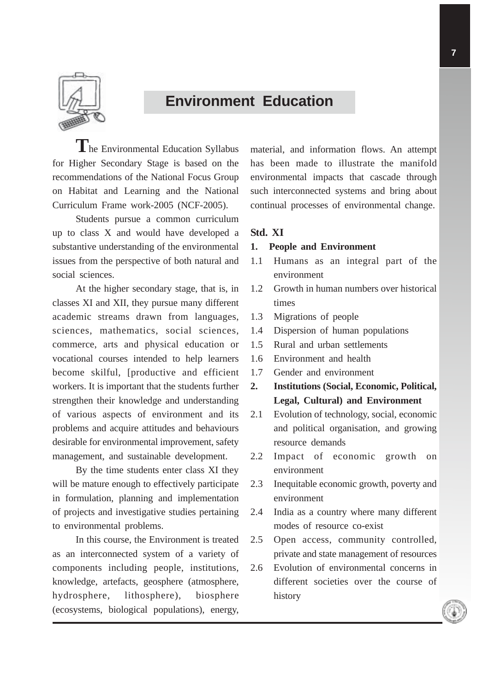

# **Environment Education**

**T**he Environmental Education Syllabus for Higher Secondary Stage is based on the recommendations of the National Focus Group on Habitat and Learning and the National Curriculum Frame work-2005 (NCF-2005).

Students pursue a common curriculum up to class X and would have developed a substantive understanding of the environmental issues from the perspective of both natural and social sciences.

At the higher secondary stage, that is, in classes XI and XII, they pursue many different academic streams drawn from languages, sciences, mathematics, social sciences, commerce, arts and physical education or vocational courses intended to help learners become skilful, [productive and efficient workers. It is important that the students further strengthen their knowledge and understanding of various aspects of environment and its problems and acquire attitudes and behaviours desirable for environmental improvement, safety management, and sustainable development.

By the time students enter class XI they will be mature enough to effectively participate in formulation, planning and implementation of projects and investigative studies pertaining to environmental problems.

In this course, the Environment is treated as an interconnected system of a variety of components including people, institutions, knowledge, artefacts, geosphere (atmosphere, hydrosphere, lithosphere), biosphere (ecosystems, biological populations), energy, material, and information flows. An attempt has been made to illustrate the manifold environmental impacts that cascade through such interconnected systems and bring about continual processes of environmental change.

## **Std. XI**

#### **1. People and Environment**

- 1.1 Humans as an integral part of the environment
- 1.2 Growth in human numbers over historical times
- 1.3 Migrations of people
- 1.4 Dispersion of human populations
- 1.5 Rural and urban settlements
- 1.6 Environment and health
- 1.7 Gender and environment
- **2. Institutions (Social, Economic, Political, Legal, Cultural) and Environment**
- 2.1 Evolution of technology, social, economic and political organisation, and growing resource demands
- 2.2 Impact of economic growth on environment
- 2.3 Inequitable economic growth, poverty and environment
- 2.4 India as a country where many different modes of resource co-exist
- 2.5 Open access, community controlled, private and state management of resources
- 2.6 Evolution of environmental concerns in different societies over the course of history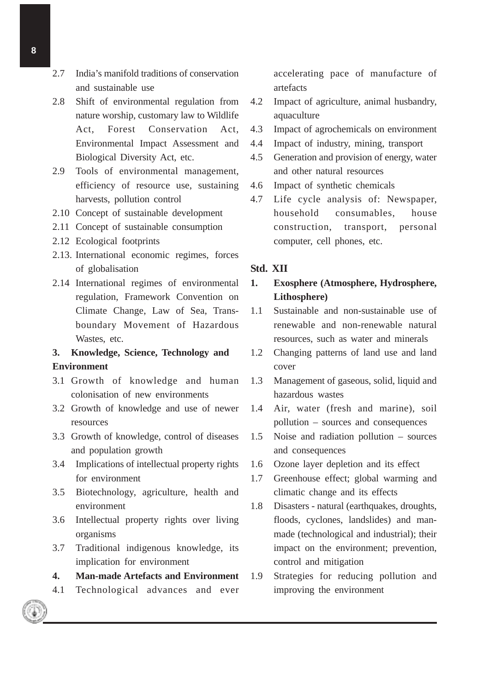- 2.7 India's manifold traditions of conservation and sustainable use
- 2.8 Shift of environmental regulation from nature worship, customary law to Wildlife Act, Forest Conservation Act, Environmental Impact Assessment and Biological Diversity Act, etc.
- 2.9 Tools of environmental management, efficiency of resource use, sustaining harvests, pollution control
- 2.10 Concept of sustainable development
- 2.11 Concept of sustainable consumption
- 2.12 Ecological footprints
- 2.13. International economic regimes, forces of globalisation
- 2.14 International regimes of environmental regulation, Framework Convention on Climate Change, Law of Sea, Transboundary Movement of Hazardous Wastes, etc.

## **3. Knowledge, Science, Technology and Environment**

- 3.1 Growth of knowledge and human colonisation of new environments
- 3.2 Growth of knowledge and use of newer resources
- 3.3 Growth of knowledge, control of diseases and population growth
- 3.4 Implications of intellectual property rights for environment
- 3.5 Biotechnology, agriculture, health and environment
- 3.6 Intellectual property rights over living organisms
- 3.7 Traditional indigenous knowledge, its implication for environment
- **4. Man-made Artefacts and Environment**
- 4.1 Technological advances and ever

accelerating pace of manufacture of artefacts

- 4.2 Impact of agriculture, animal husbandry, aquaculture
- 4.3 Impact of agrochemicals on environment
- 4.4 Impact of industry, mining, transport
- 4.5 Generation and provision of energy, water and other natural resources
- 4.6 Impact of synthetic chemicals
- 4.7 Life cycle analysis of: Newspaper, household consumables, house construction, transport, personal computer, cell phones, etc.

### **Std. XII**

## **1. Exosphere (Atmosphere, Hydrosphere, Lithosphere)**

- 1.1 Sustainable and non-sustainable use of renewable and non-renewable natural resources, such as water and minerals
- 1.2 Changing patterns of land use and land cover
- 1.3 Management of gaseous, solid, liquid and hazardous wastes
- 1.4 Air, water (fresh and marine), soil pollution – sources and consequences
- 1.5 Noise and radiation pollution sources and consequences
- 1.6 Ozone layer depletion and its effect
- 1.7 Greenhouse effect; global warming and climatic change and its effects
- 1.8 Disasters natural (earthquakes, droughts, floods, cyclones, landslides) and manmade (technological and industrial); their impact on the environment; prevention, control and mitigation
- 1.9 Strategies for reducing pollution and improving the environment